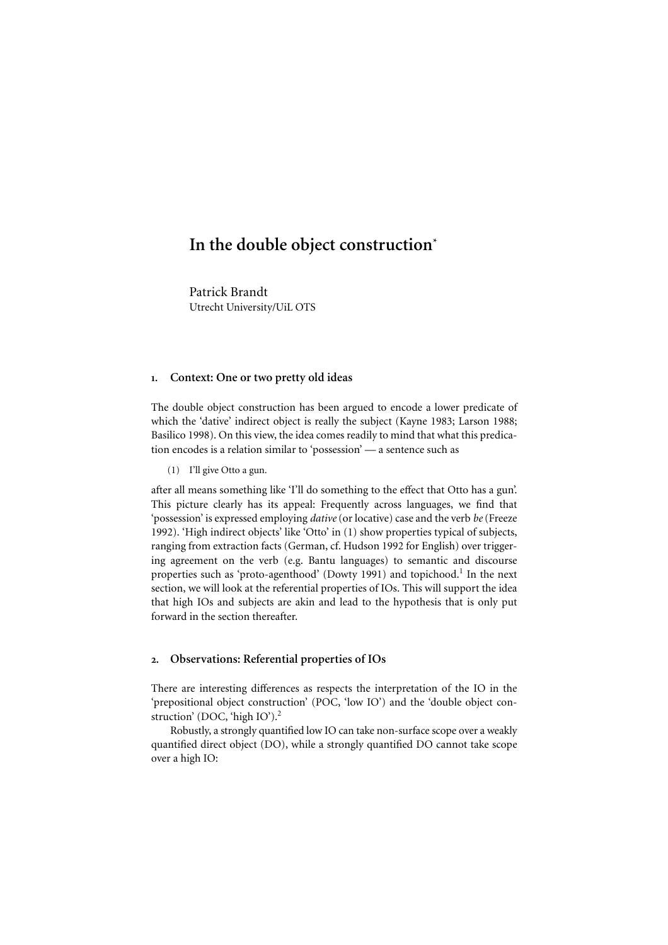# In the double object construction<sup>\*</sup>

Patrick Brandt Utrecht University/UiL OTS

#### 1. Context: One or two pretty old ideas

The double object construction has been argued to encode a lower predicate of which the 'dative' indirect object is really the subject (Kayne 1983; Larson 1988; In the double object construction\*<br>
Patrick Brandt<br>
Utrecht University/UiL OTS<br>
1. Context: One or two pretty old ideas<br>
The double object construction has been argued to encode a lower predicate of<br>
which the 'dative' ind In the double object construction<br>"<br>Patrick Brandt<br>Utrecht University/UiL OTS<br>1. Context: One or two pretty old ideas<br>The double object construction has been argued to encode a lower<br>which the 'dative' indirect object is r **In the double object construction**<br>
Patrick Brandt<br>
Urrecht University/UiL OTS<br>
1. Context: One or two pretty old ideas<br>
The double object construction has been argued to encode a lower predicate of<br>
which the 'dative' i

(1) I'll give Otto a gun.

after all means something like 'I'll do something to the effect that Otto has a gun'. This picture clearly has its appeal: Frequently across languages, we find that 'possession' is expressed employing *dative*(or locative) case and the verb *be*(Freeze ranging from extraction facts (German, cf. Hudson 1992 for English) over trigger- **In the double object construction**<br>
Patrick Brandt<br>
Utrecht University/UiL OTS<br>
1. Context: One or two pretty old ideas<br>
The double object construction has been argued to encode a lower predicate of<br>
which the 'dative' i properties such as 'proto-agenthood' (Dowty 1991) and topichood.<sup>1</sup> In the next **In the double object construction**<br>
Patrick Brandt<br>
Utrecht University/UL OTS<br>
2. Context: One or two pretty old ideas<br>
The double object construction has been argued to encode a lower predicate of<br>
which the 'dative' in that high IOs and subjects are akin and lead to the hypothesis that is only put forward in the section thereafter.

#### 2. Observations: Referential properties of IOs

There are interesting differences as respects the interpretation of the IO in the 'prepositional object construction' (POC, 'low IO') and the 'double object con-struction' (DOC, 'high IO').<sup>[2](#page-8-0)</sup>

Robustly, a strongly quantified low IO can take non-surface scope over a weakly quantified direct object (DO), while a strongly quantified DO cannot take scope over a high IO: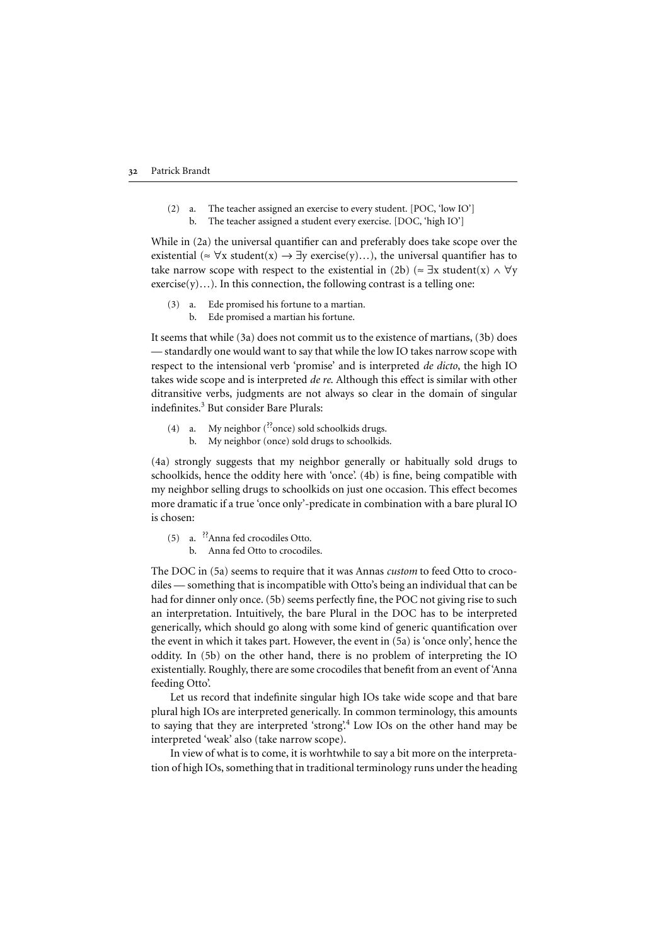(2) a. The teacher assigned an exercise to every student. [POC, 'low IO'] b. The teacher assigned a student every exercise. [DOC, 'high IO']

While in (2a) the universal quantifier can and preferably does take scope over the existential ( $\approx \forall x$  student(x)  $\rightarrow \exists y$  exercise(y)...), the universal quantifier has to take narrow scope with respect to the existential in (2b) ( $\approx \exists x$  student(x)  $\land \forall y$ exercise(y)…). In this connection, the following contrast is a telling one:

- (3) a. Ede promised his fortune to a martian.
	- b. Ede promised a martian his fortune.

It seems that while (3a) does not commit us to the existence of martians, (3b) does — standardly one would want to say that while the low IO takes narrow scope with respect to the intensional verb 'promise' and is interpreted *de dicto*, the high IO takes wide scope and is interpreted *de re*. Although this effect is similar with other ditransitive verbs, judgments are not always so clear in the domain of singular indefinites.<sup>[3](#page-9-0)</sup> But consider Bare Plurals:

- (4) a. My neighbor  $(^{?}$ once) sold schoolkids drugs.
	- b. My neighbor (once) sold drugs to schoolkids.

(4a) strongly suggests that my neighbor generally or habitually sold drugs to schoolkids, hence the oddity here with 'once'. (4b) is fine, being compatible with my neighbor selling drugs to schoolkids on just one occasion. This effect becomes more dramatic if a true 'once only'-predicate in combination with a bare plural IO is chosen:

- (5) a. ??Anna fed crocodiles Otto.
	- b. Anna fed Otto to crocodiles.

The DOC in (5a) seems to require that it was Annas *custom* to feed Otto to crocodiles — something that is incompatible with Otto's being an individual that can be had for dinner only once. (5b) seems perfectly fine, the POC not giving rise to such an interpretation. Intuitively, the bare Plural in the DOC has to be interpreted generically, which should go along with some kind of generic quantification over the event in which it takes part. However, the event in (5a) is 'once only', hence the oddity. In (5b) on the other hand, there is no problem of interpreting the IO existentially. Roughly, there are some crocodiles that benefit from an event of 'Anna feeding Otto'.

Let us record that indefinite singular high IOs take wide scope and that bare plural high IOs are interpreted generically. In common terminology, this amounts to saying that they are interpreted 'strong'.<sup>[4](#page-9-0)</sup> Low IOs on the other hand may be interpreted 'weak' also (take narrow scope).

In view of what is to come, it is worhtwhile to say a bit more on the interpretation of high IOs, something that in traditionalterminology runs under the heading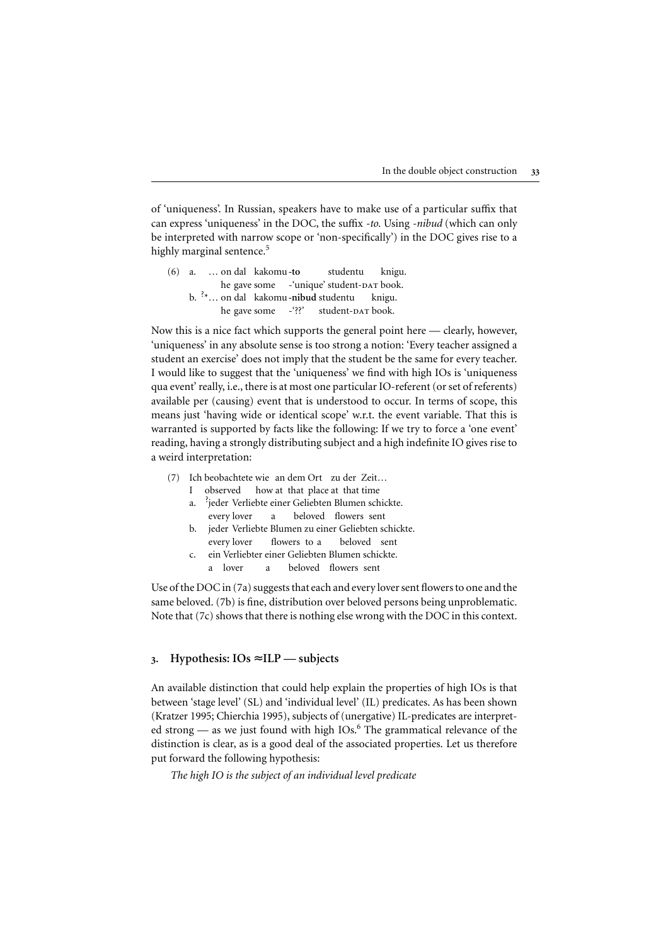of 'uniqueness'. In Russian, speakers have to make use of a particular suffix that can express 'uniqueness' in the DOC, the suffix *-to*. Using *-nibud* (which can only be interpreted with narrow scope or 'non-specifically') in the DOC gives rise to a highly marginal sentence.<sup>[5](#page-9-0)</sup>

(6) a. ... on dal kakomu-to studentu knigu. he gave some -'unique' student-DAT book. b. <sup>?</sup>\*... on dal kakomu-nibud studentu knigu. he gave some -'??' student-DAT book.

Now this is a nice fact which supports the general point here — clearly, however, 'uniqueness' in any absolute sense is too strong a notion: 'Every teacher assigned a student an exercise' does not imply that the student be the same for every teacher. I would like to suggest that the 'uniqueness' we find with high IOs is 'uniqueness qua event' really, i.e., there is at most one particular IO-referent (or set of referents) available per (causing) event that is understood to occur. In terms of scope, this means just 'having wide or identical scope' w.r.t. the event variable. That this is warranted is supported by facts like the following: If we try to force a 'one event' reading, having a strongly distributing subject and a high indefinite IO gives rise to a weird interpretation:

- (7) Ich beobachtete wie an dem Ort zu der Zeit…
	- I observed how at that place at that time
	- a. ? jeder Verliebte einer Geliebten Blumen schickte. every lover a beloved flowers sent
	- b. jeder Verliebte Blumen zu einer Geliebten schickte. every lover flowers to a beloved sent
	- c. ein Verliebter einer Geliebten Blumen schickte. a lover a beloved flowers sent

Use of the DOC in (7a) suggests that each and every lover sent flowers to one and the same beloved. (7b) is fine, distribution over beloved persons being unproblematic. Note that (7c) shows that there is nothing else wrong with the DOC in this context.

# 3. Hypothesis:  $IOs \approx ILP$  — subjects

An available distinction that could help explain the properties of high IOs is that between 'stage level' (SL) and 'individual level' (IL) predicates. As has been shown [\(Kratzer 1995](#page-12-0); [Chierchia 1995](#page-11-0)), subjects of (unergative) IL-predicates are interpret ed strong  $-$  as we just found with high IOs.<sup>[6](#page-9-0)</sup> The grammatical relevance of the distinction is clear, as is a good deal of the associated properties. Let us therefore put forward the following hypothesis:

*The high IO is the subject of an individual level predicate*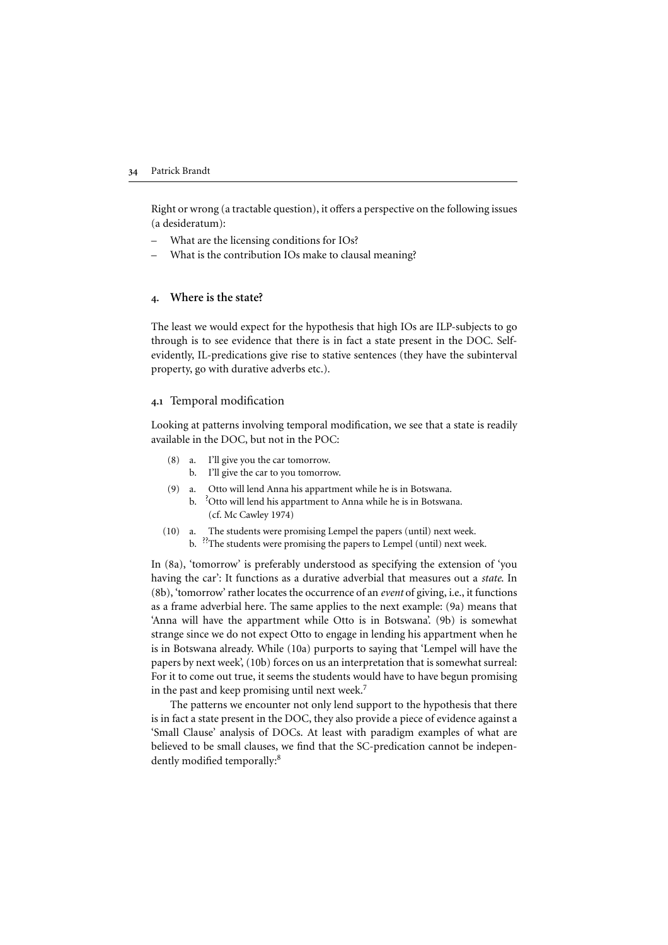Right or wrong (a tractable question), it offers a perspective on the following issues (a desideratum):

- What are the licensing conditions for IOs?
- What is the contribution IOs make to clausal meaning?

## Where is the state?

The least we would expect for the hypothesis that high IOs are ILP-subjects to go through is to see evidence that there is in fact a state present in the DOC. Selfevidently, IL-predications give rise to stative sentences (they have the subinterval property, go with durative adverbs etc.).

## 4.1 Temporal modification

Looking at patterns involving temporal modification, we see that a state is readily available in the DOC, but not in the POC:

- (8) a. I'll give you the car tomorrow.
	- b. I'll give the car to you tomorrow.
- (9) a. Otto will lend Anna his appartment while he is in Botswana.
	- b. <sup>?</sup>Otto will lend his appartment to Anna while he is in Botswana. (cf. Mc Cawley 1974)
- (10) a. The students were promising Lempel the papers (until) next week. b. <sup>??</sup>The students were promising the papers to Lempel (until) next week.

In (8a), 'tomorrow' is preferably understood as specifying the extension of 'you having the car': It functions as a durative adverbial that measures out a *state*. In (8b), 'tomorrow' rather locates the occurrence of an *event* of giving, i.e., it functions as a frame adverbial here. The same applies to the next example: (9a) means that 'Anna will have the appartment while Otto is in Botswana'. (9b) is somewhat strange since we do not expect Otto to engage in lending his appartment when he is in Botswana already. While (10a) purports to saying that 'Lempel will have the papers by next week', (10b) forces on us an interpretation that is somewhat surreal: For it to come out true, it seems the students would have to have begun promising in the past and keep promising until next week.<sup>[7](#page-9-0)</sup>

The patterns we encounter not only lend support to the hypothesis that there is in fact a state present in the DOC, they also provide a piece of evidence against a 'Small Clause' analysis of DOCs. At least with paradigm examples of what are believed to be small clauses, we find that the SC-predication cannot be indepen-dently modified temporally:<sup>[8](#page-9-0)</sup>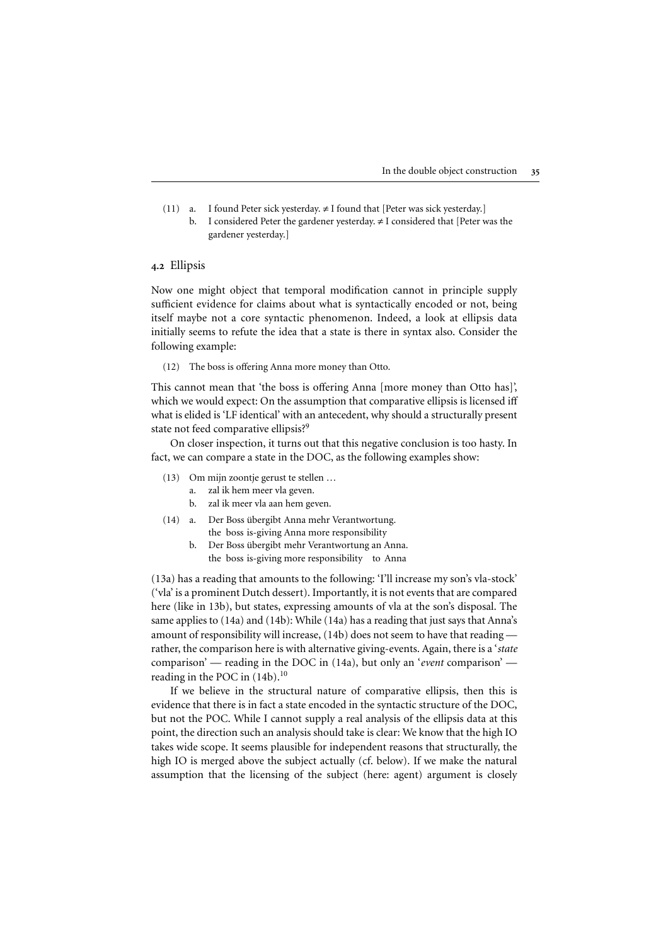- (11) a. I found Peter sick yesterday.  $\neq$  I found that [Peter was sick yesterday.]
	- b. I considered Peter the gardener yesterday.  $\neq$  I considered that [Peter was the gardener yesterday.]

## 4.2 Ellipsis

Now one might object that temporal modification cannot in principle supply sufficient evidence for claims about what is syntactically encoded or not, being itself maybe not a core syntactic phenomenon. Indeed, a look at ellipsis data initially seems to refute the idea that a state is there in syntax also. Consider the following example:

(12) The boss is offering Anna more money than Otto.

This cannot mean that 'the boss is offering Anna [more money than Otto has]', which we would expect: On the assumption that comparative ellipsis is licensed iff what is elided is 'LF identical' with an antecedent, why should a structurally present state not feed comparative ellipsis?<sup>[9](#page-10-0)</sup>

On closer inspection, it turns out that this negative conclusion is too hasty. In fact, we can compare a state in the DOC, as the following examples show:

- (13) Om mijn zoontje gerust te stellen …
	- a. zalik hem meer vla geven.
	- b. zalik meer vla aan hem geven.
- (14) a. Der Boss übergibt Anna mehr Verantwortung. the boss is-giving Anna more responsibility
	- b. Der Boss übergibt mehr Verantwortung an Anna. the boss is-giving more responsibility to Anna

(13a) has a reading that amounts to the following: 'I'll increase my son's vla-stock' ('vla' is a prominent Dutch dessert). Importantly, it is not events that are compared here (like in 13b), but states, expressing amounts of vla at the son's disposal. The same applies to (14a) and (14b): While (14a) has a reading that just says that Anna's amount of responsibility will increase, (14b) does not seem to have that reading rather, the comparison here is with alternative giving-events. Again, there is a '*state* comparison' — reading in the DOC in (14a), but only an '*event* comparison' reading in the POC in  $(14b)$ .<sup>10</sup>

If we believe in the structural nature of comparative ellipsis, then this is evidence that there is in fact a state encoded in the syntactic structure of the DOC, but not the POC. While I cannot supply a real analysis of the ellipsis data at this point, the direction such an analysis should take is clear: We know that the high IO takes wide scope. It seems plausible for independent reasons that structurally, the high IO is merged above the subject actually (cf. below). If we make the natural assumption that the licensing of the subject (here: agent) argument is closely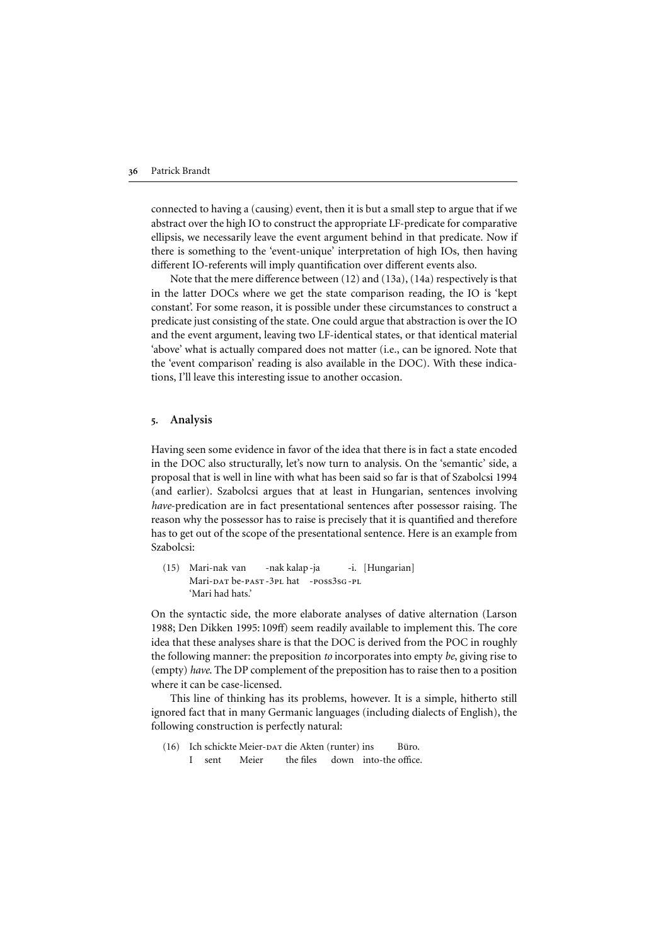connected to having a (causing) event, then it is but a small step to argue that if we abstract over the high IO to construct the appropriate LF-predicate for comparative ellipsis, we necessarily leave the event argument behind in that predicate. Now if there is something to the 'event-unique' interpretation of high IOs, then having different IO-referents will imply quantification over different events also.

Note that the mere difference between (12) and (13a), (14a) respectively is that in the latter DOCs where we get the state comparison reading, the IO is 'kept constant'. For some reason, it is possible under these circumstances to construct a predicate just consisting of the state. One could argue that abstraction is over the IO and the event argument, leaving two LF-identical states, or that identical material 'above' what is actually compared does not matter (i.e., can be ignored. Note that the 'event comparison' reading is also available in the DOC). With these indications, I'll leave this interesting issue to another occasion.

#### 5. Analysis

Having seen some evidence in favor of the idea that there is in fact a state encoded in the DOC also structurally, let's now turn to analysis. On the 'semantic' side, a proposal that is well in line with what has been said so far is that of [Szabolcsi 1994](#page-12-0) (and earlier). Szabolcsi argues that at least in Hungarian, sentences involving *have-predication are in fact presentational sentences after possessor raising. The* reason why the possessor has to raise is precisely that it is quantified and therefore has to get out of the scope of the presentational sentence. Here is an example from Szabolcsi: 36 Patrick Brandt consing a (causing) event, then it is but a small step to argue that if we<br>abstract over the high IO to construct the appropriate IF-predicate for comparative<br>ellipsies, we recessarily leave the event ar 26 Patrick Brandt<br>
26 Patrick Bradt<br>
26 construct the appropriate LT-predicate for comparative<br>
ellipsis, we necessarily leave the event argument behind in that predicate. Now it<br>
ellipsis, we necessary leave the event ar

(15) Mari-nak van -nak kalap -ja -i. [Hungarian] Mari-dat be-past -3pl hat -poss3sg-pl 'Mari had hats.'

On the syntactic side, the more elaborate analyses of dative alternation (Larson the following manner: the preposition *to* incorporates into empty *be*, giving rise to (empty) *have*. The DP complement of the preposition has to raise then to a position where it can be case-licensed.

This line of thinking has its problems, however. It is a simple, hitherto still ignored fact that in many Germanic languages (including dialects of English), the following construction is perfectly natural:

(16) Ich schickte Meier-DAT die Akten (runter) ins Büro. I sent Meier the files down into-the office.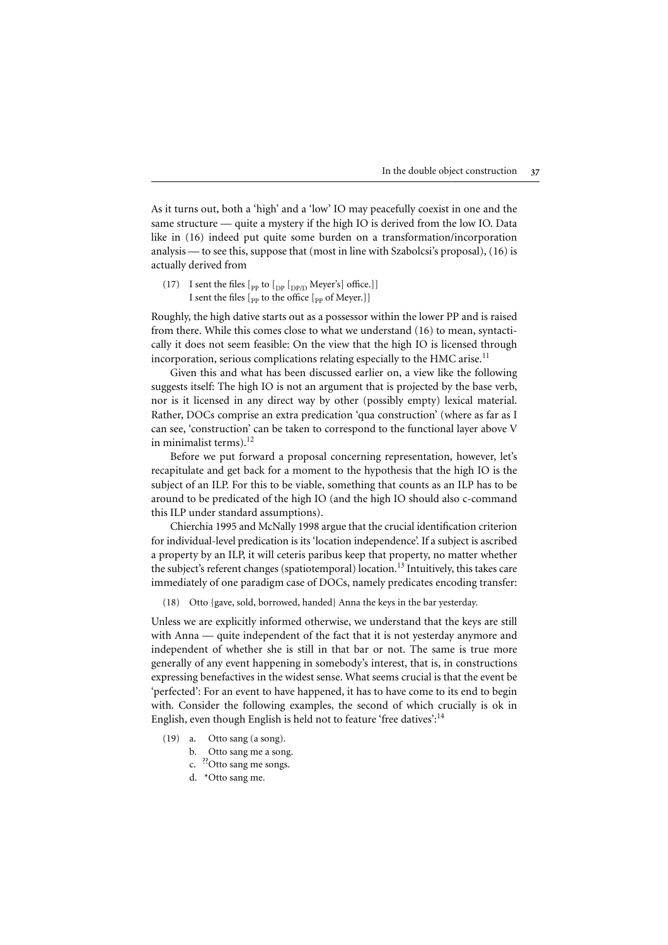As it turns out, both a 'high' and a 'low' IO may peacefully coexist in one and the same structure — quite a mystery if the high IO is derived from the low IO. Data like in (16) indeed put quite some burden on a transformation/incorporation analysis — to see this, suppose that (most in line with Szabolcsi's proposal), (16) is actually derived from

(17) I sent the files  $\lbrack$ <sub>PP</sub> to  $\lbrack$ <sub>DP</sub>  $\lbrack$ <sub>DP/D</sub> Meyer's] office.]] I sent the files  $\lbrack$ <sub>pp</sub> to the office  $\lbrack$ <sub>pp</sub> of Meyer.]]

Roughly, the high dative starts out as a possessor within the lower PP and is raised from there. While this comes close to what we understand (16) to mean, syntactically it does not seem feasible: On the view that the high IO is licensed through incorporation, serious complications relating especially to the HMC arise.<sup>[11](#page-10-0)</sup>

Given this and what has been discussed earlier on, a view like the following suggests itself: The high IO is not an argument that is projected by the base verb, nor is it licensed in any direct way by other (possibly empty) lexical material. Rather, DOCs comprise an extra predication 'qua construction' (where as far as I can see, 'construction' can be taken to correspond to the functionallayer above V in minimalist terms). $12$ 

Before we put forward a proposal concerning representation, however, let's recapitulate and get back for a moment to the hypothesis that the high IO is the subject of an ILP. For this to be viable, something that counts as an ILP has to be around to be predicated of the high IO (and the high IO should also c-command this ILP under standard assumptions).

[Chierchia 1995](#page-11-0) and [McNally 1998](#page-12-0) argue that the crucial identification criterion for individual-level predication is its 'location independence'. If a subject is ascribed a property by an ILP, it will ceteris paribus keep that property, no matter whether the subject's referent changes (spatiotemporal) location.<sup>13</sup> Intuitively, this takes care immediately of one paradigm case of DOCs, namely predicates encoding transfer:

(18) Otto {gave, sold, borrowed, handed} Anna the keys in the bar yesterday.

Unless we are explicitly informed otherwise, we understand that the keys are still with Anna — quite independent of the fact that it is not yesterday anymore and independent of whether she is still in that bar or not. The same is true more generally of any event happening in somebody's interest, that is, in constructions expressing benefactives in the widest sense. What seems crucial is that the event be 'perfected': For an event to have happened, it has to have come to its end to begin with. Consider the following examples, the second of which crucially is ok in English, even though English is held not to feature 'free datives': $14$ 

- (19) a. Otto sang (a song).
	- b. Otto sang me a song.
	- c. ??Otto sang me songs.
	- d. \*Otto sang me.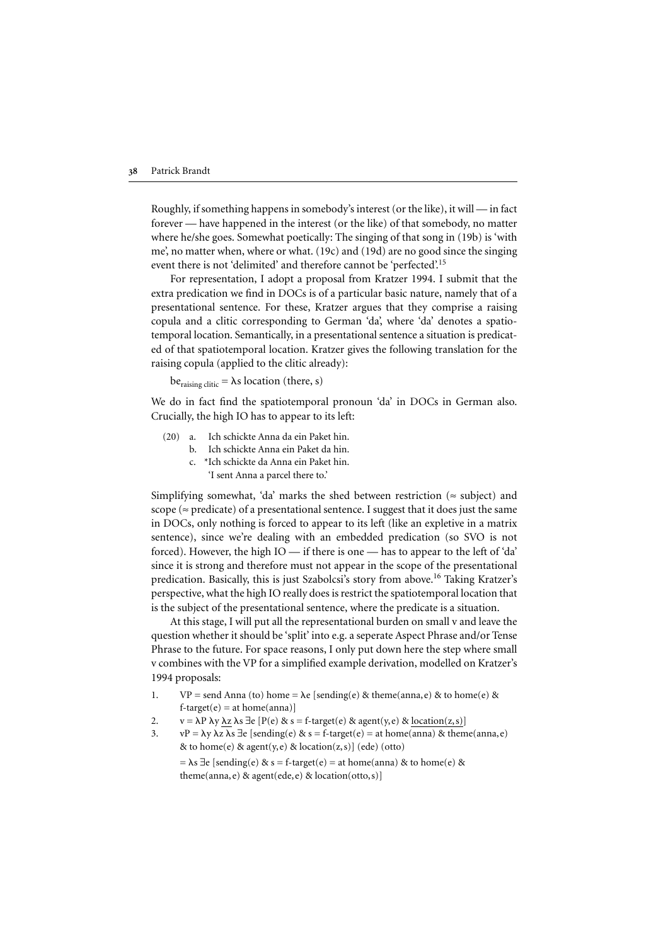Roughly, if something happens in somebody's interest (or the like), it will — in fact forever — have happened in the interest (or the like) of that somebody, no matter where he/she goes. Somewhat poetically: The singing of that song in (19b) is 'with me', no matter when, where or what. (19c) and (19d) are no good since the singing event there is not 'delimited' and therefore cannot be 'perfected'.[15](#page-10-0)

For representation, I adopt a proposal from [Kratzer 1994.](#page-12-0) I submit that the extra predication we find in DOCs is of a particular basic nature, namely that of a presentational sentence. For these, Kratzer argues that they comprise a raising copula and a clitic corresponding to German 'da', where 'da' denotes a spatiotemporal location. Semantically, in a presentational sentence a situation is predicated of that spatiotemporal location. Kratzer gives the following translation for the raising copula (applied to the clitic already):

 $be_{\text{raising cliffic}} = \lambda s \text{ location (there, s)}$ 

We do in fact find the spatiotemporal pronoun 'da' in DOCs in German also. Crucially, the high IO has to appear to its left:

- (20) a. Ich schickte Anna da ein Paket hin.
	- b. Ich schickte Anna ein Paket da hin.
	- c. \*Ich schickte da Anna ein Paket hin. 'I sent Anna a parcel there to.'

Simplifying somewhat, 'da' marks the shed between restriction ( $\approx$  subject) and scope ( $\approx$  predicate) of a presentational sentence. I suggest that it does just the same in DOCs, only nothing is forced to appear to its left (like an expletive in a matrix sentence), since we're dealing with an embedded predication (so SVO is not forced). However, the high IO — if there is one — has to appear to the left of 'da' since it is strong and therefore must not appear in the scope of the presentational predication. Basically, this is just Szabolcsi's story from above[.16](#page-10-0) Taking Kratzer's perspective, what the high IO really does is restrict the spatiotemporal location that is the subject of the presentational sentence, where the predicate is a situation.

At this stage, I will put all the representational burden on small v and leave the question whether it should be 'split' into e.g. a seperate Aspect Phrase and/or Tense Phrase to the future. For space reasons, I only put down here the step where small v combines with the VP for a simplified example derivation, modelled on [Kratzer's](#page-12-0) [1994](#page-12-0) proposals:

- 1.  $VP = send Anna (to) home = \lambda e [sending(e) & theme(anna, e) & to home(e) &$  $f$ -target(e) = at home(anna)]
- 2.  $v = \lambda P \lambda y \lambda z \lambda s \exists e [P(e) \& s = f\text{-target}(e) \& agent(y, e) \& location(z, s)]$
- 3.  $vP = \lambda y \lambda z \lambda s \exists e$  [sending(e) & s = f-target(e) = at home(anna) & theme(anna, e) & to home(e) & agent(y, e) & location(z, s)] (ede) (otto)

=  $\lambda$ s  $\exists$ e [sending(e) & s = f-target(e) = at home(anna) & to home(e) & theme(anna, e) & agent(ede, e) & location(otto, s)]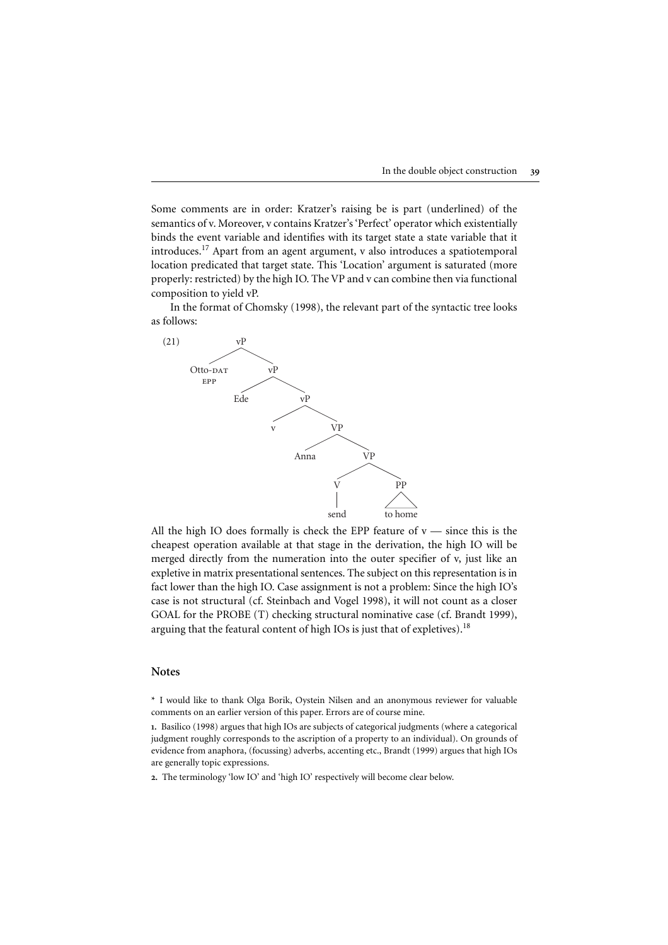<span id="page-8-0"></span>Some comments are in order: Kratzer's raising be is part (underlined) of the semantics of v. Moreover, v contains Kratzer's 'Perfect' operator which existentially binds the event variable and identifies with its target state a state variable that it introduces.<sup>17</sup> Apart from an agent argument, v also introduces a spatiotemporal location predicated that target state. This 'Location' argument is saturated (more properly: restricted) by the high IO. The VP and v can combine then via functional composition to yield vP.

In the format of Chomsky (1998), the relevant part of the syntactic tree looks as follows:



All the high IO does formally is check the EPP feature of  $v$  — since this is the cheapest operation available at that stage in the derivation, the high IO will be merged directly from the numeration into the outer specifier of v, just like an expletive in matrix presentational sentences. The subject on this representation is in fact lower than the high IO. Case assignment is not a problem: Since the high IO's case is not structural (cf. Steinbach and Vogel 1998), it will not count as a closer

#### **Notes**

\* I would like to thank Olga Borik, Oystein Nilsen and an anonymous reviewer for valuable

1. Basilico (1998) argues that high IOs are subjects of categorical judgments (where a categorical evidence from anaphora, (focussing) adverbs, accenting etc., [Brandt \(1999\)](#page-11-0) argues that high IOs are generally topic expressions.

2. The terminology 'low IO' and 'high IO' respectively will become clear below.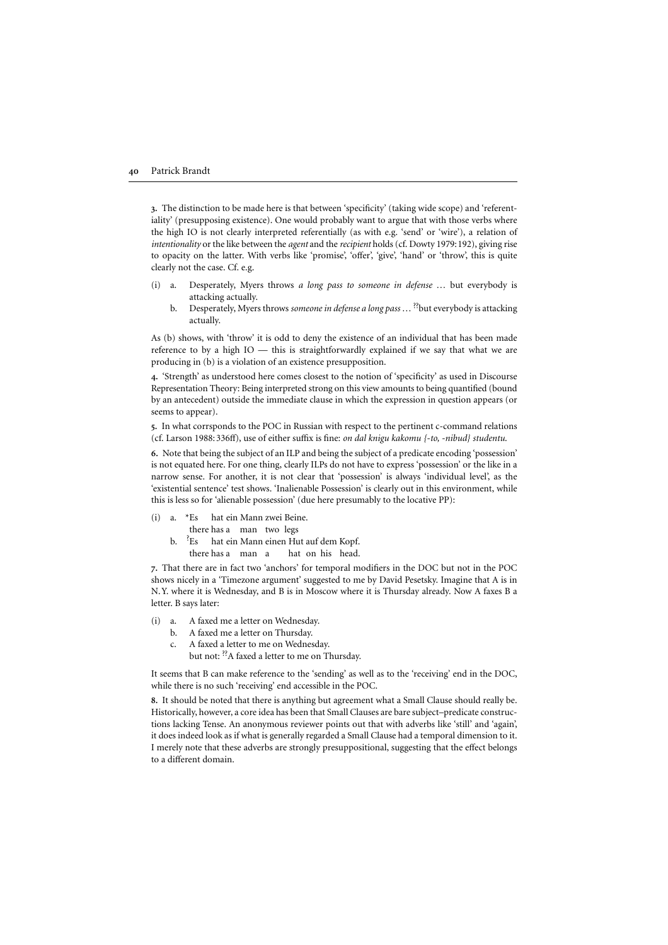<span id="page-9-0"></span>3. The distinction to be made here is that between 'specificity' (taking wide scope) and 'referentiality' (presupposing existence). One would probably want to argue that with those verbs where the high IO is not clearly interpreted referentially (as with e.g. 'send' or 'wire'), a relation of *intentionality* or the like between the *agent* and the *recipient* holds (cf. [Dowty 1979:192\)](#page-11-0), giving rise to opacity on the latter. With verbs like 'promise', 'offer', 'give', 'hand' or 'throw', this is quite clearly not the case. Cf. e.g.

- (i) a. Desperately, Myers throws *a long pass to someone in defense* … but everybody is attacking actually.
	- b. Desperately, Myers throws *someone in defense a long pass* … ??but everybody is attacking actually.

As (b) shows, with 'throw' it is odd to deny the existence of an individual that has been made reference to by a high IO — this is straightforwardly explained if we say that what we are producing in (b) is a violation of an existence presupposition.

4. 'Strength' as understood here comes closest to the notion of 'specificity' as used in Discourse Representation Theory: Being interpreted strong on this view amounts to being quantified (bound by an antecedent) outside the immediate clause in which the expression in question appears (or seems to appear).

5. In what corrsponds to the POC in Russian with respect to the pertinent c-command relations (cf. [Larson 1988:336ff](#page-12-0)), use of either suffix is fine: *on dal knigu kakomu {-to, -nibud} studentu*.

6. Note that being the subject of an ILP and being the subject of a predicate encoding 'possession' is not equated here. For one thing, clearly ILPs do not have to express 'possession' or the like in a narrow sense. For another, it is not clear that 'possession' is always 'individual level', as the 'existential sentence' test shows. 'Inalienable Possession' is clearly out in this environment, while this is less so for 'alienable possession' (due here presumably to the locative PP):

(i) a. \*Es hat ein Mann zwei Beine. there has a man two legs b.  $E_s$ hat ein Mann einen Hut auf dem Kopf. there has a man a hat on his head.

7. That there are in fact two 'anchors' for temporalmodifiers in the DOC but not in the POC shows nicely in a 'Timezone argument' suggested to me by David Pesetsky. Imagine that A is in N.Y. where it is Wednesday, and B is in Moscow where it is Thursday already. Now A faxes B a letter. B says later:

- (i) a. A faxed me a letter on Wednesday.
	- b. A faxed me a letter on Thursday.
	- c. A faxed a letter to me on Wednesday. but not: <sup>??</sup>A faxed a letter to me on Thursday.

It seems that B can make reference to the 'sending' as well as to the 'receiving' end in the DOC, while there is no such 'receiving' end accessible in the POC.

8. It should be noted that there is anything but agreement what a Small Clause should really be. Historically, however, a core idea has been that Small Clauses are bare subject–predicate constructions lacking Tense. An anonymous reviewer points out that with adverbs like 'still' and 'again', it does indeed look as if what is generally regarded a Small Clause had a temporal dimension to it. I merely note that these adverbs are strongly presuppositional, suggesting that the effect belongs to a different domain.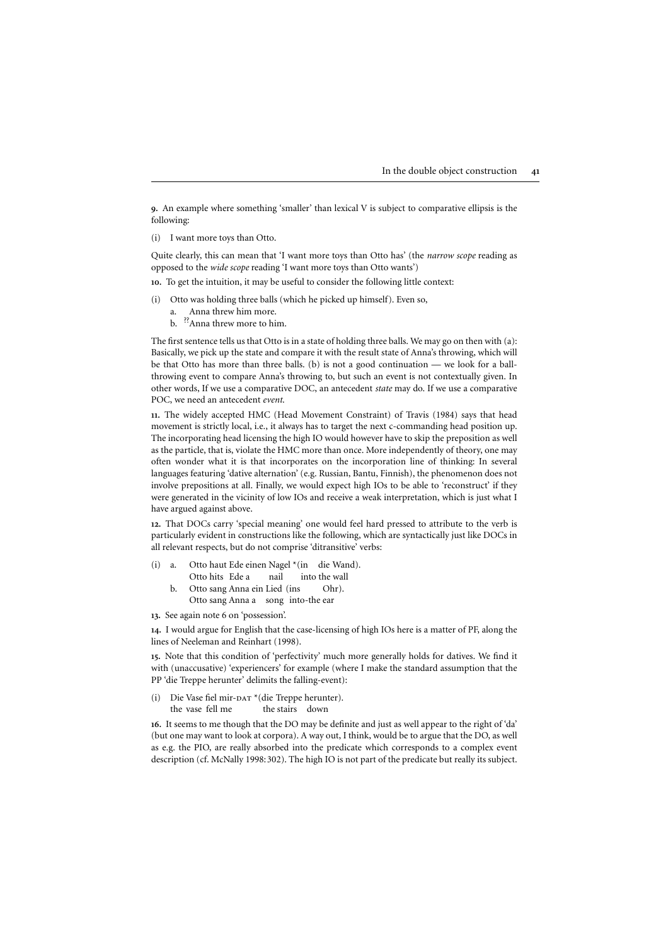<span id="page-10-0"></span>9. An example where something 'smaller' than lexical V is subject to comparative ellipsis is the following:

(i) I want more toys than Otto.

Quite clearly, this can mean that 'I want more toys than Otto has' (the *narrow scope* reading as opposed to the *wide scope* reading 'I want more toys than Otto wants')

10. To get the intuition, it may be useful to consider the following little context:

- (i) Otto was holding three balls (which he picked up himself). Even so,
	- a. Anna threw him more.
	- b. <sup>??</sup>Anna threw more to him.

The first sentence tells us that Otto is in a state of holding three balls. We may go on then with (a): Basically, we pick up the state and compare it with the result state of Anna's throwing, which will be that Otto has more than three balls. (b) is not a good continuation — we look for a ballthrowing event to compare Anna's throwing to, but such an event is not contextually given. In other words, If we use a comparative DOC, an antecedent *state* may do. If we use a comparative POC, we need an antecedent *event*.

11. The widely accepted HMC (Head Movement Constraint) of [Travis \(1984\)](#page-12-0) says that head movement is strictly local, i.e., it always has to target the next c-commanding head position up. The incorporating head licensing the high IO would however have to skip the preposition as well as the particle, that is, violate the HMC more than once. More independently of theory, one may often wonder what it is that incorporates on the incorporation line of thinking: In several languages featuring 'dative alternation' (e.g. Russian, Bantu, Finnish), the phenomenon does not involve prepositions at all. Finally, we would expect high IOs to be able to 'reconstruct' if they were generated in the vicinity of low IOs and receive a weak interpretation, which is just what I have argued against above.

12. That DOCs carry 'specialmeaning' one would feelhard pressed to attribute to the verb is particularly evident in constructions like the following, which are syntactically just like DOCs in all relevant respects, but do not comprise 'ditransitive' verbs:

| (i) |                              |  |  |                                    |       | a. Otto haut Ede einen Nagel * (in die Wand). |
|-----|------------------------------|--|--|------------------------------------|-------|-----------------------------------------------|
|     |                              |  |  | Otto hits Ede a nail into the wall |       |                                               |
|     | Otto sang Anna ein Lied (ins |  |  |                                    | Ohr). |                                               |

- Otto sang Anna a song into-the ear
- 13. See again note 6 on 'possession'.

14. I would argue for English that the case-licensing of high IOs here is a matter of PF, along the lines of [Neeleman and Reinhart \(1998\).](#page-12-0)

15. Note that this condition of 'perfectivity' much more generally holds for datives. We find it with (unaccusative) 'experiencers' for example (where I make the standard assumption that the PP 'die Treppe herunter' delimits the falling-event):

(i) Die Vase fiel mir-DAT \*(die Treppe herunter). the vase fell me \*(the stairs down

16. It seems to me though that the DO may be definite and just as well appear to the right of 'da' (but one may want to look at corpora). A way out, I think, would be to argue that the DO, as well as e.g. the PIO, are really absorbed into the predicate which corresponds to a complex event description (cf. [McNally 1998:302](#page-12-0)). The high IO is not part of the predicate but really its subject.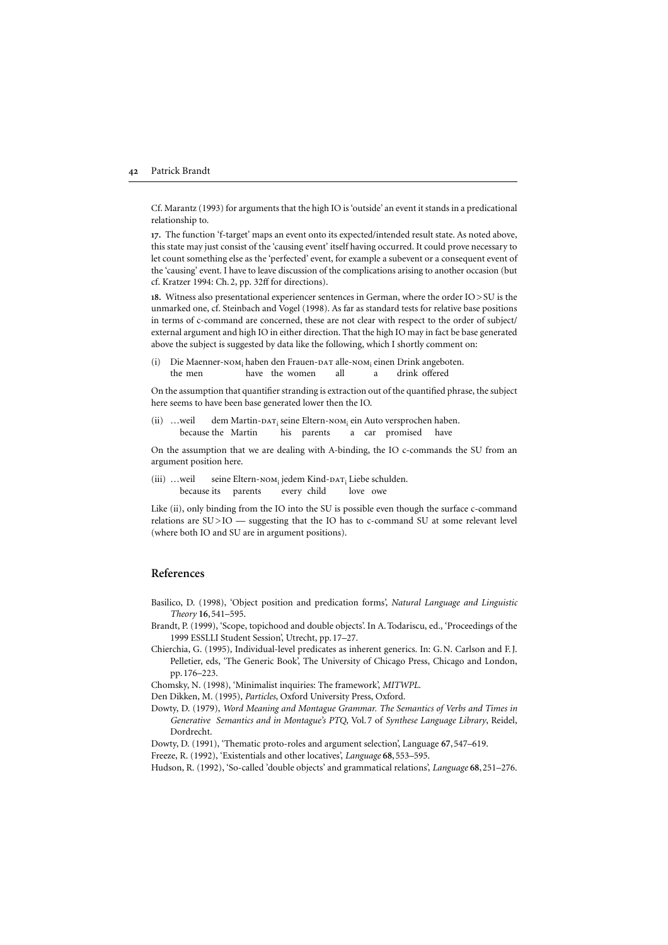<span id="page-11-0"></span>Cf. Marantz (1993) for arguments that the high IO is 'outside' an event it stands in a predicational relationship to.

17. The function 'f-target' maps an event onto its expected/intended result state. As noted above, this state may just consist of the 'causing event' itself having occurred. It could prove necessary to let count something else as the 'perfected' event, for example a subevent or a consequent event of the 'causing' event. I have to leave discussion of the complications arising to another occasion (but cf. Kratzer 1994: Ch.2, pp. 32ff for directions). 22 P[a](#page-12-0)trick Brandt<br>
Cf. Marantz (1993) for arguments that the high IO is 'outside' an event it stands in a predicational<br>
relationship to.<br>
17. The function 'f-target' maps an event onto its expected/intended result state.

18. Witness also presentational experiencer sentences in German, where the order IO>SU is the unmarked one, cf. Steinbach and Vogel(1998). As far as standard tests for relative base positions externalargument and high IO in either direction. That the high IO may in fact be base generated above the subject is suggested by data like the following, which I shortly comment on: **42** Patrick Brandt<br>
Cf. Marantz (1993) for arguments that the high IO is 'o<br>
relationship to.<br>
17. The function "F-target" maps an event onto its experies<br>
this state may just consist of the 'causing event' itself he<br>
le 22 Patrick Brandt<br>
Cf. Manatt (1993) for arguments that the high IO is 'outside' an event is standaring reduction<br>
reductions of the chicago Press, the function "Language and the Chicago Press, the Count something clas as **22** Patrick Brandt CI993) for arguments that the high IO is 'outside' an every chat the relationship to.<br>
17. The function "[clarget maps are seen touto its expected/intended this state may just consist of the Causing ev 22 Patrick Bramdt (1993) for arguments that the high 1O is 'outside' an event it stands in a predictational relationship to . The function "Franget" maps an event onto its expected/interacted result state. As anoted above **42** Particle Brandt CO92) for argumenta that the high IO is 'ouside' an event it stands in a predication<br>of the function of the function of the function of the function of the function of the function of the function of

(i) Die Maenner-NOM<sub>i</sub> haben den Frauen-DAT alle-NOM<sub>i</sub> einen Drink angeboten. the men have the women all a drink offered

On the assumption that quantifier stranding is extraction out of the quantified phrase, the subject here seems to have been base generated lower then the IO.

(ii) ... weil dem Martin-DAT; seine Eltern-NOM; ein Auto versprochen haben. because the Martin his parents a car promised have

On the assumption that we are dealing with A-binding, the IO c-commands the SU from an argument position here.

(iii) ... weil seine Eltern-NOM<sub>i</sub> jedem Kind-DAT<sub>i</sub> Liebe schulden. because its parents every child love owe

Like (ii), only binding from the IO into the SU is possible even though the surface c-command relations are  $SU > IO$  — suggesting that the IO has to c-command SU at some relevant level (where both IO and SU are in argument positions).

#### References

- Basilico, D. (1998), 'Object position and predication forms', *Natural Language and Linguistic Theory* 16,541–595.
- Brandt, P. (1999), 'Scope, topichood and double objects'. In A.Todariscu, ed., 'Proceedings of the
- Chierchia, G. (1995), Individual-level predicates as inherent generics. In: G.N. Carlson and F. J. pp.176–223.
- Chomsky, N. (1998), 'Minimalist inquiries: The framework', *MITWPL*.
- 
- *Generative Semantics and in Montague's PTQ*, Vol.7 of *Synthese Language Library*, Reidel, Dordrecht.
- Dowty, D. (1991), 'Thematic proto-roles and argument selection', Language 67,547–619.

Freeze, R. (1992), 'Existentials and other locatives', *Language* 68,553–595.